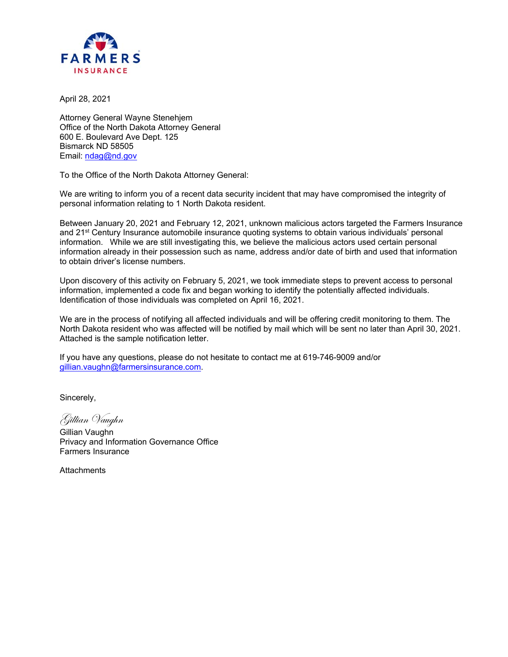

April 28, 2021

Attorney General Wayne Stenehjem Office of the North Dakota Attorney General 600 E. Boulevard Ave Dept. 125 Bismarck ND 58505 Email: ndag@nd.gov

To the Office of the North Dakota Attorney General:

We are writing to inform you of a recent data security incident that may have compromised the integrity of personal information relating to 1 North Dakota resident.

Between January 20, 2021 and February 12, 2021, unknown malicious actors targeted the Farmers Insurance and 21<sup>st</sup> Century Insurance automobile insurance quoting systems to obtain various individuals' personal information. While we are still investigating this, we believe the malicious actors used certain personal information already in their possession such as name, address and/or date of birth and used that information to obtain driver's license numbers.

Upon discovery of this activity on February 5, 2021, we took immediate steps to prevent access to personal information, implemented a code fix and began working to identify the potentially affected individuals. Identification of those individuals was completed on April 16, 2021.

We are in the process of notifying all affected individuals and will be offering credit monitoring to them. The North Dakota resident who was affected will be notified by mail which will be sent no later than April 30, 2021. Attached is the sample notification letter.

If you have any questions, please do not hesitate to contact me at 619-746-9009 and/or gillian.vaughn@farmersinsurance.com.

Sincerely,

Gillian Vaughn

Gillian Vaughn Privacy and Information Governance Office Farmers Insurance

**Attachments**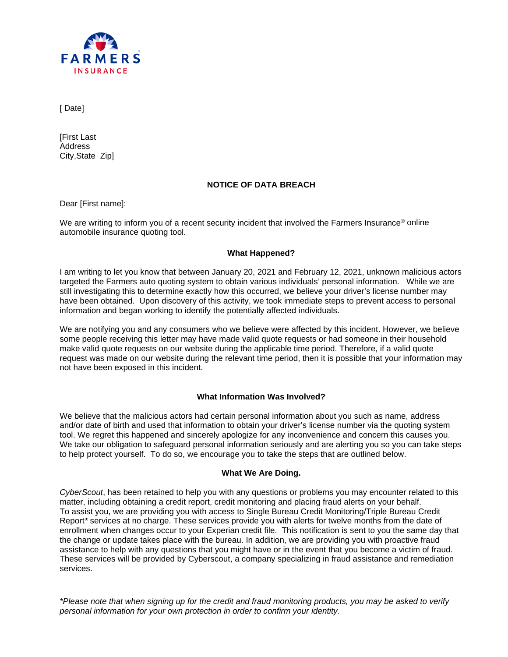

[ Date]

[First Last **Address** City,State Zip]

# **NOTICE OF DATA BREACH**

Dear [First name]:

We are writing to inform you of a recent security incident that involved the Farmers Insurance<sup>®</sup> online automobile insurance quoting tool.

# **What Happened?**

I am writing to let you know that between January 20, 2021 and February 12, 2021, unknown malicious actors targeted the Farmers auto quoting system to obtain various individuals' personal information. While we are still investigating this to determine exactly how this occurred, we believe your driver's license number may have been obtained. Upon discovery of this activity, we took immediate steps to prevent access to personal information and began working to identify the potentially affected individuals.

We are notifying you and any consumers who we believe were affected by this incident. However, we believe some people receiving this letter may have made valid quote requests or had someone in their household make valid quote requests on our website during the applicable time period. Therefore, if a valid quote request was made on our website during the relevant time period, then it is possible that your information may not have been exposed in this incident.

# **What Information Was Involved?**

We believe that the malicious actors had certain personal information about you such as name, address and/or date of birth and used that information to obtain your driver's license number via the quoting system tool. We regret this happened and sincerely apologize for any inconvenience and concern this causes you. We take our obligation to safeguard personal information seriously and are alerting you so you can take steps to help protect yourself. To do so, we encourage you to take the steps that are outlined below.

## **What We Are Doing.**

*CyberScout*, has been retained to help you with any questions or problems you may encounter related to this matter, including obtaining a credit report, credit monitoring and placing fraud alerts on your behalf. To assist you, we are providing you with access to Single Bureau Credit Monitoring/Triple Bureau Credit Report*\** services at no charge. These services provide you with alerts for twelve months from the date of enrollment when changes occur to your Experian credit file. This notification is sent to you the same day that the change or update takes place with the bureau. In addition, we are providing you with proactive fraud assistance to help with any questions that you might have or in the event that you become a victim of fraud. These services will be provided by Cyberscout, a company specializing in fraud assistance and remediation services.

*\*Please note that when signing up for the credit and fraud monitoring products, you may be asked to verify personal information for your own protection in order to confirm your identity.*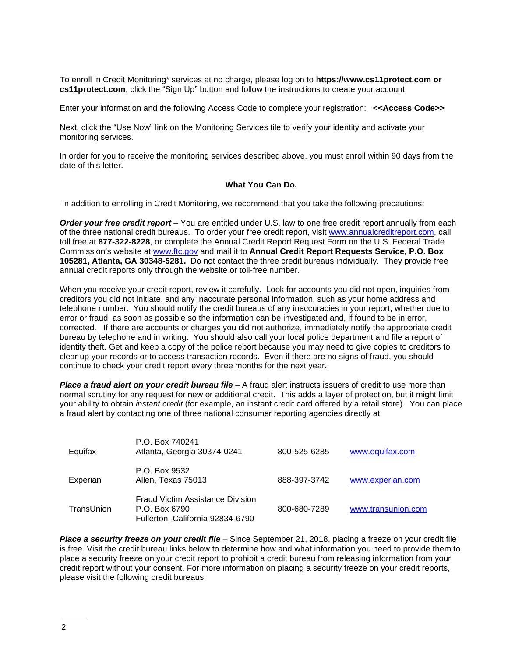To enroll in Credit Monitoring\* services at no charge, please log on to **https://www.cs11protect.com or cs11protect.com**, click the "Sign Up" button and follow the instructions to create your account.

Enter your information and the following Access Code to complete your registration: **<<Access Code>>**

Next, click the "Use Now" link on the Monitoring Services tile to verify your identity and activate your monitoring services.

In order for you to receive the monitoring services described above, you must enroll within 90 days from the date of this letter.

## **What You Can Do.**

In addition to enrolling in Credit Monitoring, we recommend that you take the following precautions:

*Order your free credit report* – You are entitled under U.S. law to one free credit report annually from each of the three national credit bureaus. To order your free credit report, visit [www.annualcreditreport.com,](http://www.annualcreditreport.com/) call toll free at **877-322-8228**, or complete the Annual Credit Report Request Form on the U.S. Federal Trade Commission's website at [www.ftc.gov](http://www.ftc.gov/) and mail it to **Annual Credit Report Requests Service, P.O. Box 105281, Atlanta, GA 30348-5281.** Do not contact the three credit bureaus individually. They provide free annual credit reports only through the website or toll-free number.

When you receive your credit report, review it carefully. Look for accounts you did not open, inquiries from creditors you did not initiate, and any inaccurate personal information, such as your home address and telephone number. You should notify the credit bureaus of any inaccuracies in your report, whether due to error or fraud, as soon as possible so the information can be investigated and, if found to be in error, corrected. If there are accounts or charges you did not authorize, immediately notify the appropriate credit bureau by telephone and in writing. You should also call your local police department and file a report of identity theft. Get and keep a copy of the police report because you may need to give copies to creditors to clear up your records or to access transaction records. Even if there are no signs of fraud, you should continue to check your credit report every three months for the next year.

*Place a fraud alert on your credit bureau file* – A fraud alert instructs issuers of credit to use more than normal scrutiny for any request for new or additional credit. This adds a layer of protection, but it might limit your ability to obtain *instant credit* (for example, an instant credit card offered by a retail store). You can place a fraud alert by contacting one of three national consumer reporting agencies directly at:

| Equifax    | P.O. Box 740241<br>Atlanta, Georgia 30374-0241                                        | 800-525-6285 | www.equifax.com    |
|------------|---------------------------------------------------------------------------------------|--------------|--------------------|
| Experian   | P.O. Box 9532<br>Allen, Texas 75013                                                   | 888-397-3742 | www.experian.com   |
| TransUnion | Fraud Victim Assistance Division<br>P.O. Box 6790<br>Fullerton, California 92834-6790 | 800-680-7289 | www.transunion.com |

*Place a security freeze on your credit file* – Since September 21, 2018, placing a freeze on your credit file is free. Visit the credit bureau links below to determine how and what information you need to provide them to place a security freeze on your credit report to prohibit a credit bureau from releasing information from your credit report without your consent. For more information on placing a security freeze on your credit reports, please visit the following credit bureaus: